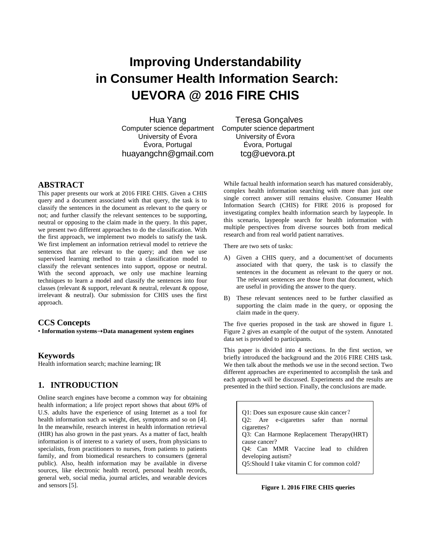# **Improving Understandability in Consumer Health Information Search: UEVORA @ 2016 FIRE CHIS**

Hua Yang [Computer](http://www.uevora.pt/) science department [Computer](http://www.uevora.pt/) science department University of Évora Évora, Portugal huayangchn@gmail.com

Teresa Gonçalves University of Évora Évora, Portugal tcg@uevora.pt

## **ABSTRACT**

This paper presents our work at 2016 FIRE CHIS. Given a CHIS query and a document associated with that query, the task is to classify the sentences in the document as relevant to the query or not; and further classify the relevant sentences to be supporting, neutral or opposing to the claim made in the query. In this paper, we present two different approaches to do the classification. With the first approach, we implement two models to satisfy the task. We first implement an information retrieval model to retrieve the sentences that are relevant to the query; and then we use supervised learning method to train a classification model to classify the relevant sentences into support, oppose or neutral. With the second approach, we only use machine learning techniques to learn a model and classify the sentences into four classes (relevant & support, relevant & neutral, relevant & oppose, irrelevant & neutral). Our submission for CHIS uses the first approach.

#### **CCS Concepts**

• **Information systems**➝**Data management system engines**

#### **Keywords**

Health information search; machine learning; IR

## **1. INTRODUCTION**

Online search engines have become a common way for obtaining health information; a life project report shows that about 69% of U.S. adults have the experience of using Internet as a tool for health information such as weight, diet, symptoms and so on [4]. In the meanwhile, research interest in health information retrieval (HIR) has also grown in the past years. As a matter of fact, health information is of interest to a variety of users, from physicians to specialists, from practitioners to nurses, from patients to patients family, and from biomedical researchers to consumers (general public). Also, health information may be available in diverse sources, like electronic health record, personal health records, general web, social media, journal articles, and wearable devices and sensors [5].

While factual health information search has matured considerably, complex health information searching with more than just one single correct answer still remains elusive. Consumer Health Information Search (CHIS) for FIRE 2016 is proposed for investigating complex health information search by laypeople. In this scenario, laypeople search for health information with multiple perspectives from diverse sources both from medical research and from real world patient narratives.

There are two sets of tasks:

- A) Given a CHIS query, and a document/set of documents associated with that query, the task is to classify the sentences in the document as relevant to the query or not. The relevant sentences are those from that document, which are useful in providing the answer to the query.
- B) These relevant sentences need to be further classified as supporting the claim made in the query, or opposing the claim made in the query.

The five queries proposed in the task are showed in figure 1. Figure 2 gives an example of the output of the system. Annotated data set is provided to participants.

This paper is divided into 4 sections. In the first section, we briefly introduced the background and the 2016 FIRE CHIS task. We then talk about the methods we use in the second section. Two different approaches are experimented to accomplish the task and each approach will be discussed. Experiments and the results are presented in the third section. Finally, the conclusions are made.

Q1: Does sun exposure cause skin cancer? Q2: Are e-cigarettes safer than normal cigarettes? Q3: Can Harmone Replacement Therapy(HRT) cause cancer? Q4: Can MMR Vaccine lead to children developing autism? Q5:Should I take vitamin C for common cold?

## **Figure 1. 2016 FIRE CHIS queries**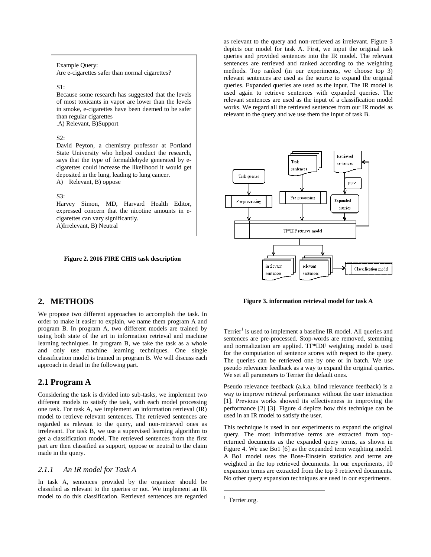## Example Query:

Are e-cigarettes safer than normal cigarettes?

#### $S1$ :

Because some research has suggested that the levels of most toxicants in vapor are lower than the levels in smoke, e-cigarettes have been deemed to be safer than regular cigarettes .A) Relevant, B)Support

#### S2:

David Peyton, a chemistry professor at Portland State University who helped conduct the research, says that the type of formaldehyde generated by ecigarettes could increase the likelihood it would get deposited in the lung, leading to lung cancer.

A) Relevant, B) oppose

#### $S3$ :

Harvey Simon, MD, Harvard Health Editor, expressed concern that the nicotine amounts in ecigarettes can vary significantly. A)Irrelevant, B) Neutral

#### **Figure 2. 2016 FIRE CHIS task description**

## **2. METHODS**

We propose two different approaches to accomplish the task. In order to make it easier to explain, we name them program A and program B. In program A, two different models are trained by using both state of the art in information retrieval and machine learning techniques. In program B, we take the task as a whole and only use machine learning techniques. One single classification model is trained in program B. We will discuss each approach in detail in the following part.

## **2.1 Program A**

Considering the task is divided into sub-tasks, we implement two different models to satisfy the task, with each model processing one task. For task A, we implement an information retrieval (IR) model to retrieve relevant sentences. The retrieved sentences are regarded as relevant to the query, and non-retrieved ones as irrelevant. For task B, we use a supervised learning algorithm to get a classification model. The retrieved sentences from the first part are then classified as support, oppose or neutral to the claim made in the query.

## *2.1.1 An IR model for Task A*

In task A, sentences provided by the organizer should be classified as relevant to the queries or not. We implement an IR model to do this classification. Retrieved sentences are regarded as relevant to the query and non-retrieved as irrelevant. Figure 3 depicts our model for task A. First, we input the original task queries and provided sentences into the IR model. The relevant sentences are retrieved and ranked according to the weighting methods. Top ranked (in our experiments, we choose top 3) relevant sentences are used as the source to expand the original queries. Expanded queries are used as the input. The IR model is used again to retrieve sentences with expanded queries. The relevant sentences are used as the input of a classification model works. We regard all the retrieved sentences from our IR model as relevant to the query and we use them the input of task B.



#### **Figure 3. information retrieval model for task A**

Terrier<sup>1</sup> is used to implement a baseline IR model. All queries and sentences are pre-processed. Stop-words are removed, stemming and normalization are applied. TF\*IDF weighting model is used for the computation of sentence scores with respect to the query. The queries can be retrieved one by one or in batch. We use pseudo relevance feedback as a way to expand the original queries. We set all parameters to Terrier the default ones.

Pseudo relevance feedback (a.k.a. blind relevance feedback) is a way to improve retrieval performance without the user interaction [1]. Previous works showed its effectiveness in improving the performance [2] [3]. Figure 4 depicts how this technique can be used in an IR model to satisfy the user.

This technique is used in our experiments to expand the original query. The most informative terms are extracted from topreturned documents as the expanded query terms, as shown in Figure 4. We use [Bo1](http://terrier.org/docs/v4.1/javadoc/org/terrier/matching/models/queryexpansion/Bo1.html) [6] as the expanded term weighting model. A Bo1 model uses the Bose-Einstein statistics and terms are weighted in the top retrieved documents. In our experiments, 10 expansion terms are extracted from the top 3 retrieved documents. No other query expansion techniques are used in our experiments.

 $\overline{a}$ 

 $1$  Terrier.org.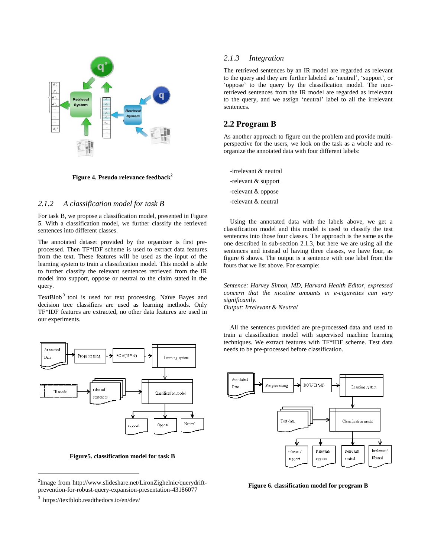

**Figure 4. Pseudo relevance feedback<sup>2</sup>**

## *2.1.2 A classification model for task B*

For task B, we propose a classification model, presented in Figure 5. With a classification model, we further classify the retrieved sentences into different classes.

The annotated dataset provided by the organizer is first preprocessed. Then TF\*IDF scheme is used to extract data features from the text. These features will be used as the input of the learning system to train a classification model. This model is able to further classify the relevant sentences retrieved from the IR model into support, oppose or neutral to the claim stated in the query.

TextBlob<sup>3</sup> tool is used for text processing. Na  $\ddot{v}$ e Bayes and decision tree classifiers are used as learning methods. Only TF\*IDF features are extracted, no other data features are used in our experiments.



**Figure5. classification model for task B**

 $\overline{a}$ 

## *2.1.3 Integration*

The retrieved sentences by an IR model are regarded as relevant to the query and they are further labeled as 'neutral', 'support', or 'oppose' to the query by the classification model. The nonretrieved sentences from the IR model are regarded as irrelevant to the query, and we assign 'neutral' label to all the irrelevant sentences.

## **2.2 Program B**

As another approach to figure out the problem and provide multiperspective for the users, we look on the task as a whole and reorganize the annotated data with four different labels:

-irrelevant & neutral -relevant & support -relevant & oppose -relevant & neutral

Using the annotated data with the labels above, we get a classification model and this model is used to classify the test sentences into those four classes. The approach is the same as the one described in sub-section 2.1.3, but here we are using all the sentences and instead of having three classes, we have four, as figure 6 shows. The output is a sentence with one label from the fours that we list above. For example:

*Sentence: Harvey Simon, MD, Harvard Health Editor, expressed concern that the nicotine amounts in e-cigarettes can vary significantly.* 

*Output: Irrelevant & Neutral*

All the sentences provided are pre-processed data and used to train a classification model with supervised machine learning techniques. We extract features with TF\*IDF scheme. Test data needs to be pre-processed before classification.



**Figure 6. classification model for program B**

<sup>&</sup>lt;sup>2</sup>Image from http://www.slideshare.net/LironZighelnic/querydriftprevention-for-robust-query-expansion-presentation-43186077

<sup>3</sup> https://textblob.readthedocs.io/en/dev/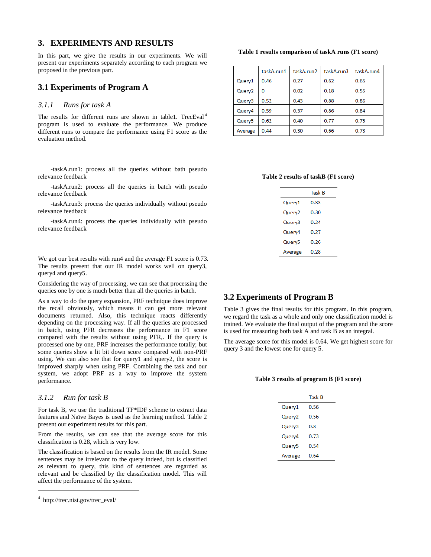## **3. EXPERIMENTS AND RESULTS**

In this part, we give the results in our experiments. We will present our experiments separately according to each program we proposed in the previous part.

## **3.1 Experiments of Program A**

## *3.1.1 Runs for task A*

The results for different runs are shown in table1. TrecEval<sup>4</sup> program is used to evaluate the performance. We produce different runs to compare the performance using F1 score as the evaluation method.

-taskA.run1: process all the queries without bath pseudo relevance feedback

-taskA.run2: process all the queries in batch with pseudo relevance feedback

-taskA.run3: process the queries individually without pseudo relevance feedback

-taskA.run4: process the queries individually with pseudo relevance feedback

We got our best results with run4 and the average F1 score is 0.73. The results present that our IR model works well on query3, query4 and query5.

Considering the way of processing, we can see that processing the queries one by one is much better than all the queries in batch.

As a way to do the query expansion, PRF technique does improve the recall obviously, which means it can get more relevant documents returned. Also, this technique reacts differently depending on the processing way. If all the queries are processed in batch, using PFR decreases the performance in F1 score compared with the results without using PFR,. If the query is processed one by one, PRF increases the performance totally; but some queries show a lit bit down score compared with non-PRF using. We can also see that for query1 and query2, the score is improved sharply when using PRF. Combining the task and our system, we adopt PRF as a way to improve the system performance.

### *3.1.2 Run for task B*

For task B, we use the traditional TF\*IDF scheme to extract data features and Naïve Bayes is used as the learning method. Table 2 present our experiment results for this part.

From the results, we can see that the average score for this classification is 0.28, which is very low.

The classification is based on the results from the IR model. Some sentences may be irrelevant to the query indeed, but is classified as relevant to query, this kind of sentences are regarded as relevant and be classified by the classification model. This will affect the performance of the system.

 $\overline{a}$ 

**Table 1 results comparison of taskA runs (F1 score)**

|                    | taskA.run1 | taskA.run2 | taskA.run3 | taskA.run4 |
|--------------------|------------|------------|------------|------------|
| Query1             | 0.46       | 0.27       | 0.62       | 0.65       |
| Query <sub>2</sub> | 0          | 0.02       | 0.18       | 0.55       |
| Query3             | 0.52       | 0.43       | 0.88       | 0.86       |
| Query4             | 0.59       | 0.37       | 0.86       | 0.84       |
| Query <sub>5</sub> | 0.62       | 0.40       | 0.77       | 0.75       |
| Average            | 0.44       | 0.30       | 0.66       | 0.73       |

#### **Table 2 results of taskB (F1 score)**

|         | Task B |
|---------|--------|
| Query1  | 0.33   |
| Query2  | 0.30   |
| Querv3  | 0.24   |
| Query4  | 0.27   |
| Query5  | 0.26   |
| Average | 0.28   |
|         |        |

## **3.2 Experiments of Program B**

Table 3 gives the final results for this program. In this program, we regard the task as a whole and only one classification model is trained. We evaluate the final output of the program and the score is used for measuring both task A and task B as an integral.

The average score for this model is 0.64. We get highest score for query 3 and the lowest one for query 5.

#### **Table 3 results of program B (F1 score)**

|         | Task B |
|---------|--------|
| Querv1  | 0 56   |
| Query2  | 0.56   |
| Query3  | 0.8    |
| Query4  | 0.73   |
| Query5  | 0.54   |
| Average | 0.64   |

<sup>4</sup> http://trec.nist.gov/trec\_eval/